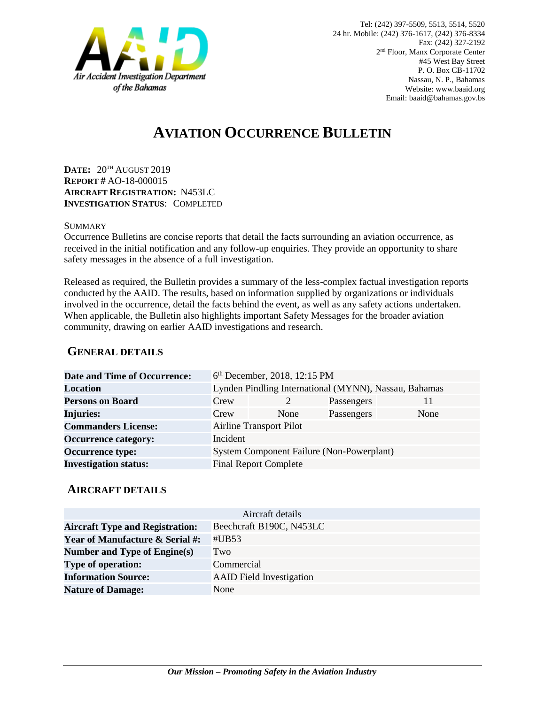

# **AVIATION OCCURRENCE BULLETIN**

**DATE:** 20TH AUGUST 2019 **REPORT #** AO-18-000015 **AIRCRAFT REGISTRATION:** N453LC **INVESTIGATION STATUS**: COMPLETED

#### **SUMMARY**

Occurrence Bulletins are concise reports that detail the facts surrounding an aviation occurrence, as received in the initial notification and any follow-up enquiries. They provide an opportunity to share safety messages in the absence of a full investigation*.*

Released as required, the Bulletin provides a summary of the less-complex factual investigation reports conducted by the AAID. The results, based on information supplied by organizations or individuals involved in the occurrence, detail the facts behind the event, as well as any safety actions undertaken. When applicable, the Bulletin also highlights important Safety Messages for the broader aviation community, drawing on earlier AAID investigations and research.

### **GENERAL DETAILS**

| <b>Date and Time of Occurrence:</b> |                                                       | 6 <sup>th</sup> December, 2018, 12:15 PM |            |      |
|-------------------------------------|-------------------------------------------------------|------------------------------------------|------------|------|
| <b>Location</b>                     | Lynden Pindling International (MYNN), Nassau, Bahamas |                                          |            |      |
| <b>Persons on Board</b>             | Crew                                                  | 2                                        | Passengers | 11   |
| <b>Injuries:</b>                    | Crew                                                  | None                                     | Passengers | None |
| <b>Commanders License:</b>          | <b>Airline Transport Pilot</b>                        |                                          |            |      |
| <b>Occurrence category:</b>         | Incident                                              |                                          |            |      |
| <b>Occurrence type:</b>             | System Component Failure (Non-Powerplant)             |                                          |            |      |
| <b>Investigation status:</b>        | <b>Final Report Complete</b>                          |                                          |            |      |

#### **AIRCRAFT DETAILS**

| Aircraft details                           |                                 |  |  |  |
|--------------------------------------------|---------------------------------|--|--|--|
| <b>Aircraft Type and Registration:</b>     | Beechcraft B190C, N453LC        |  |  |  |
| <b>Year of Manufacture &amp; Serial #:</b> | #UB53                           |  |  |  |
| Number and Type of Engine(s)               | Two                             |  |  |  |
| <b>Type of operation:</b>                  | Commercial                      |  |  |  |
| <b>Information Source:</b>                 | <b>AAID</b> Field Investigation |  |  |  |
| <b>Nature of Damage:</b>                   | None                            |  |  |  |